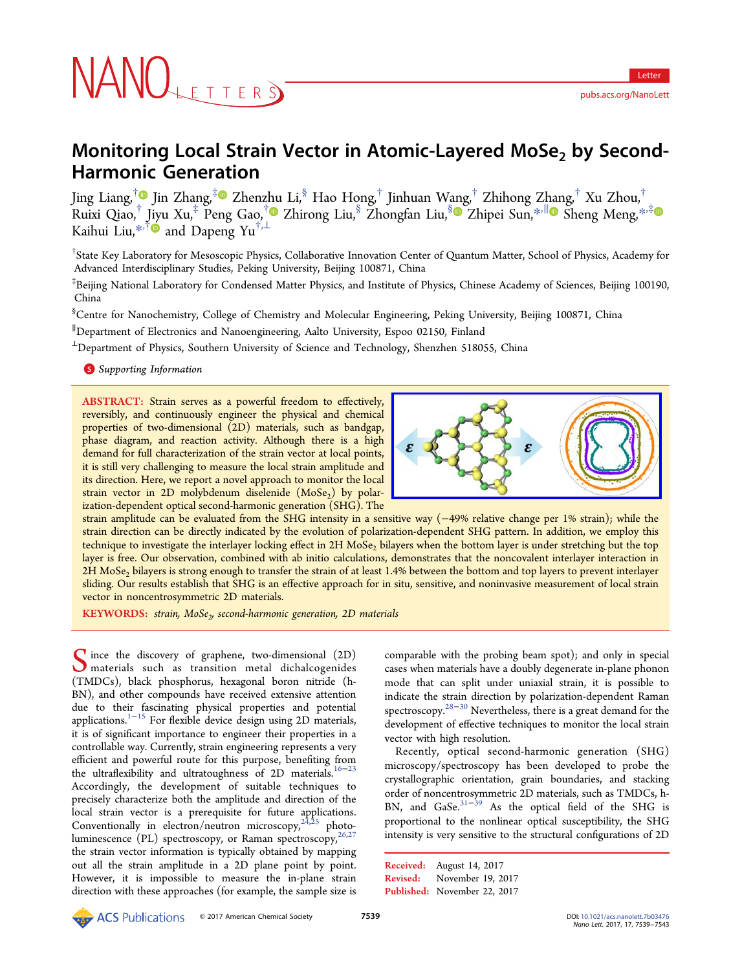## Monitoring Local Strain Vector in Atomic-Layered MoSe<sub>2</sub> by Second-Harmonic Generation

Jing Liang, $^\dagger$  Jin Z[han](#page-3-0)g, $^\ddagger$  Zhenz[hu](#page-3-0) Li, $^\$$  Hao Hong, $^\dagger$  Jinhuan Wang, $^\dagger$  Zhihong Zhang, $^\dagger$  Xu Zhou, $^\dagger$ Ruixi Qiao,† [Jiy](#page-3-0)u Xu,‡ Peng Gao,† Zhirong Liu,§ Zhongfan Liu,[§](#page-3-0) Zhipei Sun,[\\*](#page-3-0),<sup>∥</sup> Sheng Meng,[\\*](#page-3-0),[‡](#page-3-0) Kaihui Liu, $^{*,\dagger}$  $^{*,\dagger}$  $^{*,\dagger}$ ® and Dapeng Yu $^{\dagger,\perp}$ 

† State Key Laboratory for Mesoscopic Physics, Collaborative Innovation Center of Quantum Matter, School of Physics, Academy for Advanced Interdisciplinary Studies, Peking University, Beijing 100871, China

‡ Beijing National Laboratory for Condensed Matter Physics, and Institute of Physics, Chinese Academy of Sciences, Beijing 100190, China

 $\rm ^\$$ Centre for Nanochemistry, College of Chemistry and Molecular Engineering, Peking University, Beijing 100871, China

∥ Department of Electronics and Nanoengineering, Aalto University, Espoo 02150, Finland

<sup>⊥</sup>Department of Physics, Southern University of Science and Technology, Shenzhen 518055, China

**S** [Supporting Information](#page-3-0)

ABSTRACT: Strain serves as a powerful freedom to effectively, reversibly, and continuously engineer the physical and chemical properties of two-dimensional (2D) materials, such as bandgap, phase diagram, and reaction activity. Although there is a high demand for full characterization of the strain vector at local points, it is still very challenging to measure the local strain amplitude and its direction. Here, we report a novel approach to monitor the local strain vector in 2D molybdenum diselenide  $(MoSe<sub>2</sub>)$  by polarization-dependent optical second-harmonic generation (SHG). The



strain amplitude can be evaluated from the SHG intensity in a sensitive way (−49% relative change per 1% strain); while the strain direction can be directly indicated by the evolution of polarization-dependent SHG pattern. In addition, we employ this technique to investigate the interlayer locking effect in 2H MoSe, bilayers when the bottom layer is under stretching but the top layer is free. Our observation, combined with ab initio calculations, demonstrates that the noncovalent interlayer interaction in 2H MoSe<sub>2</sub> bilayers is strong enough to transfer the strain of at least 1.4% between the bottom and top layers to prevent interlayer sliding. Our results establish that SHG is an effective approach for in situ, sensitive, and noninvasive measurement of local strain vector in noncentrosymmetric 2D materials.

KEYWORDS: strain,  $M_0$ Se<sub>2</sub>, second-harmonic generation, 2D materials

Since the discovery of graphene, two-dimensional (2D)<br>materials such as transition metal dichalcogenides<br>(TMDCs) block phoephorus havegonal boron nitride (b (TMDCs), black phosphorus, hexagonal boron nitride (h-BN), and other compounds have received extensive attention due to their fascinating physical properties and potential applications.[1](#page-4-0)−[15](#page-4-0) For flexible device design using 2D materials, it is of significant importance to engineer their properties in a controllable way. Currently, strain engineering represents a very efficient and powerful route for this purpose, benefiting from the ultraflexibility and ultratoughness of 2D materials.<sup>[16](#page-4-0)−[23](#page-4-0)</sup> Accordingly, the development of suitable techniques to precisely characterize both the amplitude and direction of the local strain vector is a prerequisite for future applications. Conventionally in electron/neutron microscopy,  $2^{4,25}$  photoluminescence (PL) spectroscopy, or Raman spectroscopy,  $^{26,27}$  $^{26,27}$  $^{26,27}$ the strain vector information is typically obtained by mapping out all the strain amplitude in a 2D plane point by point. However, it is impossible to measure the in-plane strain direction with these approaches (for example, the sample size is

comparable with the probing beam spot); and only in special cases when materials have a doubly degenerate in-plane phonon mode that can split under uniaxial strain, it is possible to indicate the strain direction by polarization-dependent Raman spectroscopy.[28](#page-4-0)−[30](#page-4-0) Nevertheless, there is a great demand for the development of effective techniques to monitor the local strain vector with high resolution.

Recently, optical second-harmonic generation (SHG) microscopy/spectroscopy has been developed to probe the crystallographic orientation, grain boundaries, and stacking order of noncentrosymmetric 2D materials, such as TMDCs, h-BN, and GaSe.<sup>[31](#page-4-0)-[39](#page-4-0)</sup> As the optical field of the SHG is proportional to the nonlinear optical susceptibility, the SHG intensity is very sensitive to the structural configurations of 2D

Received: August 14, 2017 Revised: November 19, 2017 Published: November 22, 2017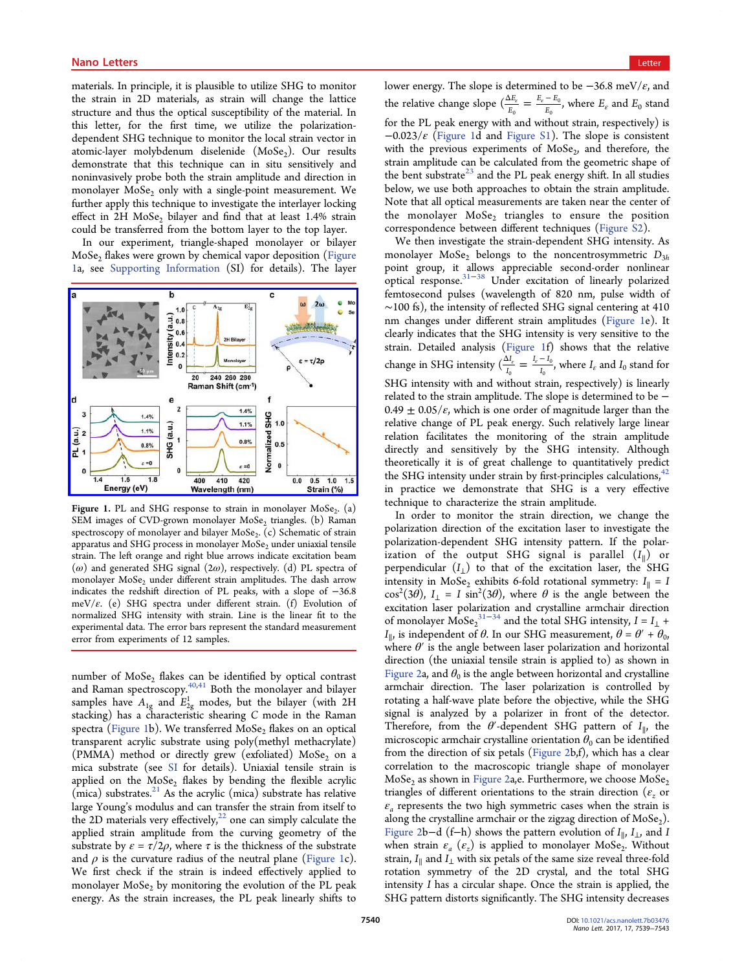<span id="page-1-0"></span>materials. In principle, it is plausible to utilize SHG to monitor the strain in 2D materials, as strain will change the lattice structure and thus the optical susceptibility of the material. In this letter, for the first time, we utilize the polarizationdependent SHG technique to monitor the local strain vector in atomic-layer molybdenum diselenide (MoSe<sub>2</sub>). Our results demonstrate that this technique can in situ sensitively and noninvasively probe both the strain amplitude and direction in monolayer MoSe<sub>2</sub> only with a single-point measurement. We further apply this technique to investigate the interlayer locking effect in  $2H$  MoSe<sub>2</sub> bilayer and find that at least  $1.4\%$  strain could be transferred from the bottom layer to the top layer.

In our experiment, triangle-shaped monolayer or bilayer  $MoSe<sub>2</sub>$  flakes were grown by chemical vapor deposition (Figure 1a, see [Supporting Information](http://pubs.acs.org/doi/suppl/10.1021/acs.nanolett.7b03476/suppl_file/nl7b03476_si_001.pdf) (SI) for details). The layer



Figure 1. PL and SHG response to strain in monolayer  $Mose_2$ . (a) SEM images of CVD-grown monolayer  $Mose_2$  triangles. (b) Raman spectroscopy of monolayer and bilayer  $Mose_2$ . (c) Schematic of strain apparatus and SHG process in monolayer  $M_0$ Se<sub>2</sub> under uniaxial tensile strain. The left orange and right blue arrows indicate excitation beam  $(\omega)$  and generated SHG signal  $(2\omega)$ , respectively. (d) PL spectra of monolayer MoSe<sub>2</sub> under different strain amplitudes. The dash arrow indicates the redshift direction of PL peaks, with a slope of −36.8 meV/ $\varepsilon$ . (e) SHG spectra under different strain. (f) Evolution of normalized SHG intensity with strain. Line is the linear fit to the experimental data. The error bars represent the standard measurement error from experiments of 12 samples.

number of  $\text{MoSe}_{2}$  flakes can be identified by optical contrast and Raman spectroscopy.<sup>[40,41](#page-4-0)</sup> Both the monolayer and bilayer samples have  $A_{1g}$  and  $E_{2g}^1$  modes, but the bilayer (with 2H stacking) has a characteristic shearing C mode in the Raman spectra (Figure 1b). We transferred  $Mose_2$  flakes on an optical transparent acrylic substrate using poly(methyl methacrylate) (PMMA) method or directly grew (exfoliated)  $\text{MoSe}_{2}$  on a mica substrate (see [SI](http://pubs.acs.org/doi/suppl/10.1021/acs.nanolett.7b03476/suppl_file/nl7b03476_si_001.pdf) for details). Uniaxial tensile strain is applied on the  $MoSe<sub>2</sub>$  flakes by bending the flexible acrylic (mica) substrates. $21$  As the acrylic (mica) substrate has relative large Young's modulus and can transfer the strain from itself to the 2D materials very effectively, $22$  one can simply calculate the applied strain amplitude from the curving geometry of the substrate by  $\varepsilon = \tau/2\rho$ , where  $\tau$  is the thickness of the substrate and  $\rho$  is the curvature radius of the neutral plane (Figure 1c). We first check if the strain is indeed effectively applied to monolayer  $MoSe<sub>2</sub>$  by monitoring the evolution of the PL peak energy. As the strain increases, the PL peak linearly shifts to lower energy. The slope is determined to be  $-36.8$  meV/ $\varepsilon$ , and the relative change slope  $\left(\frac{\Delta E_e}{E_0}\right) = \frac{E_e - E_e}{E_e}$  $E_{\varepsilon} - E$  $\frac{E_{\varepsilon}}{0} = \frac{E_{\varepsilon} - E_0}{E_0}$  $\frac{E_0}{\sigma}$ , where  $E_{\varepsilon}$  and  $E_0$  stand for the PL peak energy with and without strain, respectively) is −0.023/ε (Figure 1d and [Figure S1\)](http://pubs.acs.org/doi/suppl/10.1021/acs.nanolett.7b03476/suppl_file/nl7b03476_si_001.pdf). The slope is consistent with the previous experiments of  $MoSe<sub>2</sub>$ , and therefore, the strain amplitude can be calculated from the geometric shape of the bent substrate<sup>[23](#page-4-0)</sup> and the PL peak energy shift. In all studies below, we use both approaches to obtain the strain amplitude. Note that all optical measurements are taken near the center of the monolayer  $MoSe<sub>2</sub>$  triangles to ensure the position correspondence between different techniques [\(Figure S2](http://pubs.acs.org/doi/suppl/10.1021/acs.nanolett.7b03476/suppl_file/nl7b03476_si_001.pdf)).

We then investigate the strain-dependent SHG intensity. As monolayer MoSe<sub>2</sub> belongs to the noncentrosymmetric  $D_{3h}$ point group, it allows appreciable second-order nonlinear optical response.[31](#page-4-0)−[38](#page-4-0) Under excitation of linearly polarized femtosecond pulses (wavelength of 820 nm, pulse width of ∼100 fs), the intensity of reflected SHG signal centering at 410 nm changes under different strain amplitudes (Figure 1e). It clearly indicates that the SHG intensity is very sensitive to the strain. Detailed analysis (Figure 1f) shows that the relative change in SHG intensity  $\left(\frac{\Delta I_e}{I_0}\right) = \frac{I_e - I_e}{I_0}$  $I_{\varepsilon} - I$  $\frac{I_{\varepsilon}}{I_0} = \frac{I_{\varepsilon} - I_0}{I_0}$  $\frac{1}{\epsilon}$ , where  $I_{\varepsilon}$  and  $I_0$  stand for SHG intensity with and without strain, respectively) is linearly related to the strain amplitude. The slope is determined to be −  $0.49 \pm 0.05/\varepsilon$ , which is one order of magnitude larger than the relative change of PL peak energy. Such relatively large linear relation facilitates the monitoring of the strain amplitude directly and sensitively by the SHG intensity. Although theoretically it is of great challenge to quantitatively predict the SHG intensity under strain by first-principles calculations,  $42$ in practice we demonstrate that SHG is a very effective technique to characterize the strain amplitude.

In order to monitor the strain direction, we change the polarization direction of the excitation laser to investigate the polarization-dependent SHG intensity pattern. If the polarization of the output SHG signal is parallel  $(I_{\parallel})$  or perpendicular  $(I_1)$  to that of the excitation laser, the SHG intensity in MoSe<sub>2</sub> exhibits 6-fold rotational symmetry:  $I_{\parallel} = I$  $cos^2(3\theta)$ ,  $I_{\perp} = I sin^2(3\theta)$ , where  $\theta$  is the angle between the excitation laser polarization and crystalline armchair direction of monolayer  $\angle M_0$   $\angle S_2$ <sup>[31](#page-4-0)–[34](#page-4-0)</sup> and the total SHG intensity,  $I = I_1 +$ I<sub>||</sub>, is independent of θ. In our SHG measurement,  $θ = θ' + θ$ <sub>0</sub>, where  $\theta'$  is the angle between laser polarization and horizontal direction (the uniaxial tensile strain is applied to) as shown in [Figure 2a](#page-2-0), and  $\theta_0$  is the angle between horizontal and crystalline armchair direction. The laser polarization is controlled by rotating a half-wave plate before the objective, while the SHG signal is analyzed by a polarizer in front of the detector. Therefore, from the  $\theta'$ -dependent SHG pattern of  $I_{\parallel}$ , the microscopic armchair crystalline orientation  $\theta_0$  can be identified from the direction of six petals [\(Figure 2b](#page-2-0),f), which has a clear correlation to the macroscopic triangle shape of monolayer  $MoSe<sub>2</sub>$  as shown in [Figure 2](#page-2-0)a,e. Furthermore, we choose  $MoSe<sub>2</sub>$ triangles of different orientations to the strain direction ( $\varepsilon_z$  or  $\varepsilon_a$  represents the two high symmetric cases when the strain is along the crystalline armchair or the zigzag direction of  $MoSe<sub>2</sub>$ ). [Figure 2](#page-2-0)b−d (f–h) shows the pattern evolution of  $I_{\parallel}$ ,  $I_{\perp}$ , and I when strain  $\varepsilon_a$  ( $\varepsilon_z$ ) is applied to monolayer MoSe<sub>2</sub>. Without strain,  $I_{\parallel}$  and  $I_{\perp}$  with six petals of the same size reveal three-fold rotation symmetry of the 2D crystal, and the total SHG intensity I has a circular shape. Once the strain is applied, the SHG pattern distorts significantly. The SHG intensity decreases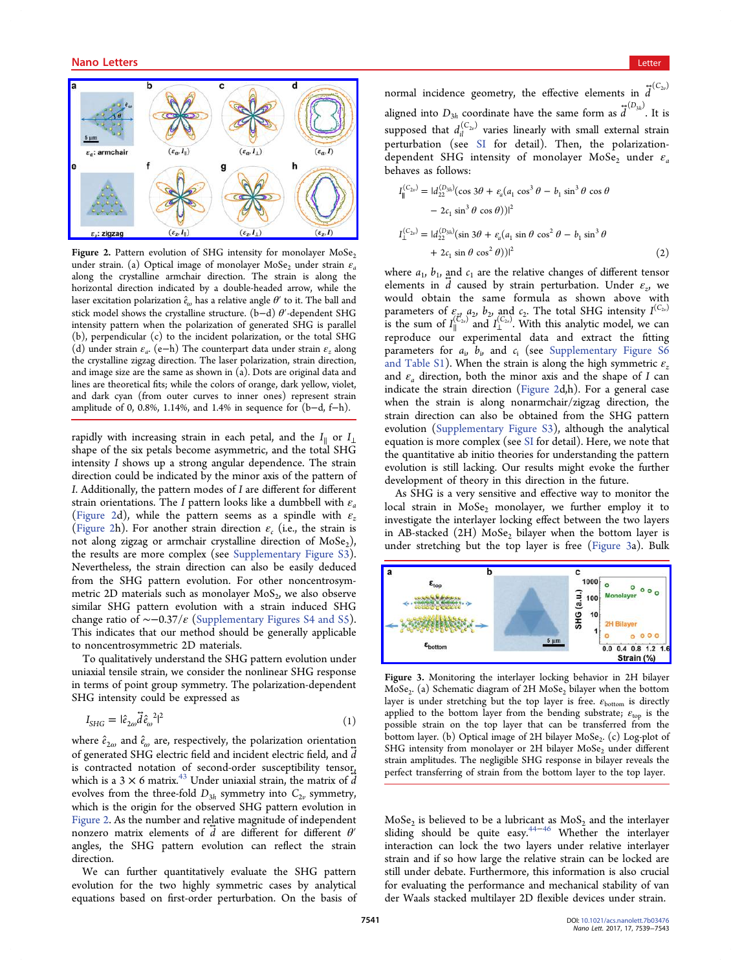<span id="page-2-0"></span>

Figure 2. Pattern evolution of SHG intensity for monolayer  $M_0$ Se<sub>2</sub> under strain. (a) Optical image of monolayer MoSe, under strain  $\varepsilon_a$ along the crystalline armchair direction. The strain is along the horizontal direction indicated by a double-headed arrow, while the laser excitation polarization  $\hat{e}_{\alpha}$  has a relative angle  $\theta'$  to it. The ball and stick model shows the crystalline structure. (b−d) θ′-dependent SHG intensity pattern when the polarization of generated SHG is parallel (b), perpendicular (c) to the incident polarization, or the total SHG (d) under strain  $\varepsilon_a$ . (e−h) The counterpart data under strain  $\varepsilon_a$  along the crystalline zigzag direction. The laser polarization, strain direction, and image size are the same as shown in (a). Dots are original data and lines are theoretical fits; while the colors of orange, dark yellow, violet, and dark cyan (from outer curves to inner ones) represent strain amplitude of 0, 0.8%, 1.14%, and 1.4% in sequence for (b−d, f−h).

rapidly with increasing strain in each petal, and the  $I_{\parallel}$  or  $I_{\perp}$ shape of the six petals become asymmetric, and the total SHG intensity I shows up a strong angular dependence. The strain direction could be indicated by the minor axis of the pattern of I. Additionally, the pattern modes of I are different for different strain orientations. The I pattern looks like a dumbbell with  $\varepsilon_a$ (Figure 2d), while the pattern seems as a spindle with  $\varepsilon_z$ (Figure 2h). For another strain direction  $\varepsilon_c$  (i.e., the strain is not along zigzag or armchair crystalline direction of  $M_0Se_2$ ), the results are more complex (see [Supplementary Figure S3\)](http://pubs.acs.org/doi/suppl/10.1021/acs.nanolett.7b03476/suppl_file/nl7b03476_si_001.pdf). Nevertheless, the strain direction can also be easily deduced from the SHG pattern evolution. For other noncentrosymmetric 2D materials such as monolayer  $MoS<sub>2</sub>$ , we also observe similar SHG pattern evolution with a strain induced SHG change ratio of ∼−0.37/ε ([Supplementary Figures S4 and S5\)](http://pubs.acs.org/doi/suppl/10.1021/acs.nanolett.7b03476/suppl_file/nl7b03476_si_001.pdf). This indicates that our method should be generally applicable to noncentrosymmetric 2D materials.

To qualitatively understand the SHG pattern evolution under uniaxial tensile strain, we consider the nonlinear SHG response in terms of point group symmetry. The polarization-dependent SHG intensity could be expressed as

$$
I_{\text{SHG}} = |\hat{e}_{2\omega}\vec{d}\hat{e}_{\omega}^2|^2\tag{1}
$$

where  $\hat{e}_{2\omega}$  and  $\hat{e}_{\omega}$  are, respectively, the polarization orientation of generated SHG electric field and incident electric field, and  $\tilde{d}$ is contracted notation of second-order susceptibility tensor, which is a 3  $\times$  6 matrix.<sup>[43](#page-4-0)</sup> Under uniaxial strain, the matrix of  $\vec{d}$ evolves from the three-fold  $D_{3h}$  symmetry into  $C_{2v}$  symmetry, which is the origin for the observed SHG pattern evolution in Figure 2. As the number and relative magnitude of independent nonzero matrix elements of  $\tilde{d}$  are different for different  $\theta'$ angles, the SHG pattern evolution can reflect the strain direction.

We can further quantitatively evaluate the SHG pattern evolution for the two highly symmetric cases by analytical equations based on first-order perturbation. On the basis of

normal incidence geometry, the effective elements in  $\vec{d}^{(C_{2\nu})}$ aligned into  $D_{3h}$  coordinate have the same form as  $\vec{d}^{(D_{3h})}$ . It is supposed that  $d_{il}^{(C_{2\nu})}$  varies linearly with small external strain perturbation (see [SI](http://pubs.acs.org/doi/suppl/10.1021/acs.nanolett.7b03476/suppl_file/nl7b03476_si_001.pdf) for detail). Then, the polarizationdependent SHG intensity of monolayer MoSe, under  $\varepsilon_a$ behaves as follows:

$$
I_{\parallel}^{(C_{2\nu})} = |d_{22}^{(D_{3h})}(\cos 3\theta + \varepsilon_a (a_1 \cos^3 \theta - b_1 \sin^3 \theta \cos \theta
$$
  

$$
- 2c_1 \sin^3 \theta \cos \theta)|^2
$$
  

$$
I_{\perp}^{(C_{2\nu})} = |d_{22}^{(D_{3h})}(\sin 3\theta + \varepsilon_a (a_1 \sin \theta \cos^2 \theta - b_1 \sin^3 \theta
$$
  

$$
+ 2c_1 \sin \theta \cos^2 \theta)|^2
$$
 (2)

where  $a_1$ ,  $b_1$ , and  $c_1$  are the relative changes of different tensor elements in  $\tilde{d}$  caused by strain perturbation. Under  $\varepsilon$ <sub>z</sub>, we would obtain the same formula as shown above with parameters of  $\varepsilon_{z}$   $a_{2}$ ,  $b_{2}$ , and  $c_{2}$ . The total SHG intensity  $I^{(C_{2v})}$ is the sum of  $I_{\parallel}^{(C_{2\nu})}$  and  $I_{\perp}^{(C_{2\nu})}$ . With this analytic model, we can reproduce our experimental data and extract the fitting parameters for  $a_i$ ,  $b_i$ , and  $c_i$  (see [Supplementary Figure S6](http://pubs.acs.org/doi/suppl/10.1021/acs.nanolett.7b03476/suppl_file/nl7b03476_si_001.pdf) [and Table S1](http://pubs.acs.org/doi/suppl/10.1021/acs.nanolett.7b03476/suppl_file/nl7b03476_si_001.pdf)). When the strain is along the high symmetric  $\varepsilon$ <sub>z</sub> and  $\varepsilon_a$  direction, both the minor axis and the shape of I can indicate the strain direction (Figure 2d,h). For a general case when the strain is along nonarmchair/zigzag direction, the strain direction can also be obtained from the SHG pattern evolution ([Supplementary Figure S3\)](http://pubs.acs.org/doi/suppl/10.1021/acs.nanolett.7b03476/suppl_file/nl7b03476_si_001.pdf), although the analytical equation is more complex (see [SI](http://pubs.acs.org/doi/suppl/10.1021/acs.nanolett.7b03476/suppl_file/nl7b03476_si_001.pdf) for detail). Here, we note that the quantitative ab initio theories for understanding the pattern evolution is still lacking. Our results might evoke the further development of theory in this direction in the future.

As SHG is a very sensitive and effective way to monitor the local strain in  $MoSe<sub>2</sub>$  monolayer, we further employ it to investigate the interlayer locking effect between the two layers in AB-stacked (2H) MoSe<sub>2</sub> bilayer when the bottom layer is under stretching but the top layer is free (Figure 3a). Bulk



Figure 3. Monitoring the interlayer locking behavior in 2H bilayer MoSe<sub>2</sub>. (a) Schematic diagram of 2H MoSe<sub>2</sub> bilayer when the bottom layer is under stretching but the top layer is free.  $\varepsilon$ <sub>bottom</sub> is directly applied to the bottom layer from the bending substrate;  $\varepsilon_{\text{top}}$  is the possible strain on the top layer that can be transferred from the bottom layer. (b) Optical image of  $2H$  bilayer MoSe<sub>2</sub>. (c) Log-plot of SHG intensity from monolayer or  $2H$  bilayer MoSe<sub>2</sub> under different strain amplitudes. The negligible SHG response in bilayer reveals the perfect transferring of strain from the bottom layer to the top layer.

 $\mathrm{MoSe}_{2}$  is believed to be a lubricant as  $\mathrm{MoS}_{2}$  and the interlayer sliding should be quite easy.<sup>[44](#page-4-0)-[46](#page-4-0)</sup> Whether the interlayer interaction can lock the two layers under relative interlayer strain and if so how large the relative strain can be locked are still under debate. Furthermore, this information is also crucial for evaluating the performance and mechanical stability of van der Waals stacked multilayer 2D flexible devices under strain.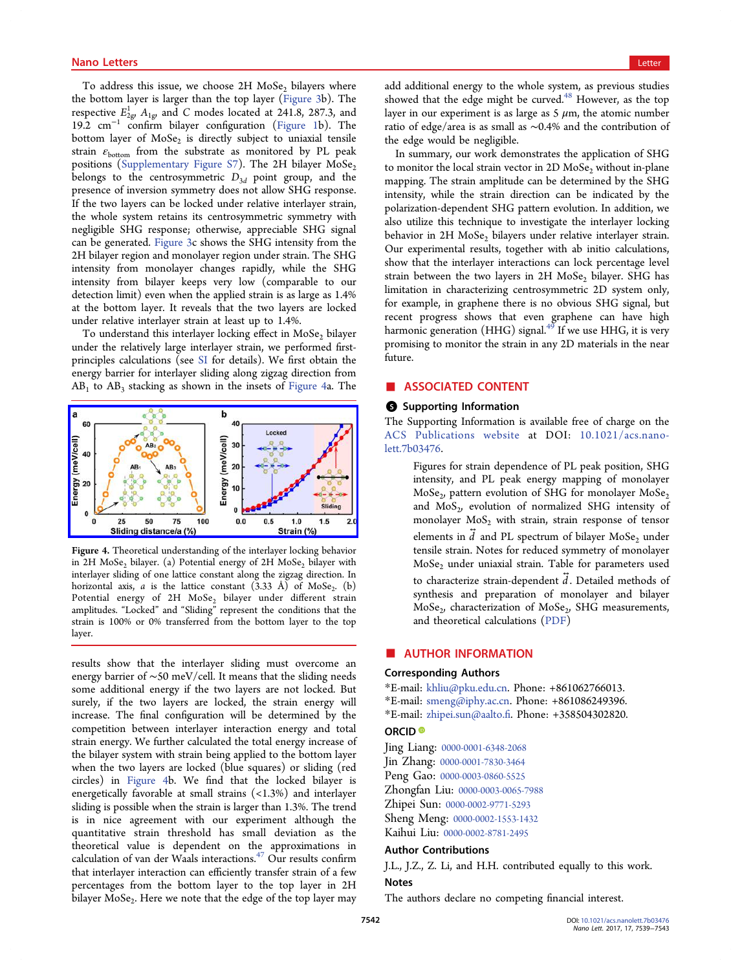<span id="page-3-0"></span>To address this issue, we choose  $2H$  MoSe<sub>2</sub> bilayers where the bottom layer is larger than the top layer ([Figure 3b](#page-2-0)). The respective  $E_{2g}^1$   $A_{1g}$  and C modes located at 241.8, 287.3, and 19.2 cm<sup>−</sup><sup>1</sup> confirm bilayer configuration ([Figure 1](#page-1-0)b). The bottom layer of MoSe, is directly subject to uniaxial tensile strain  $\varepsilon$ <sub>bottom</sub> from the substrate as monitored by PL peak positions [\(Supplementary Figure S7\)](http://pubs.acs.org/doi/suppl/10.1021/acs.nanolett.7b03476/suppl_file/nl7b03476_si_001.pdf). The 2H bilayer  $MoSe<sub>2</sub>$ belongs to the centrosymmetric  $D_{3d}$  point group, and the presence of inversion symmetry does not allow SHG response. If the two layers can be locked under relative interlayer strain, the whole system retains its centrosymmetric symmetry with negligible SHG response; otherwise, appreciable SHG signal can be generated. [Figure 3c](#page-2-0) shows the SHG intensity from the 2H bilayer region and monolayer region under strain. The SHG intensity from monolayer changes rapidly, while the SHG intensity from bilayer keeps very low (comparable to our detection limit) even when the applied strain is as large as 1.4% at the bottom layer. It reveals that the two layers are locked under relative interlayer strain at least up to 1.4%.

To understand this interlayer locking effect in  $Mose<sub>2</sub>$  bilayer under the relatively large interlayer strain, we performed firstprinciples calculations (see [SI](http://pubs.acs.org/doi/suppl/10.1021/acs.nanolett.7b03476/suppl_file/nl7b03476_si_001.pdf) for details). We first obtain the energy barrier for interlayer sliding along zigzag direction from  $AB_1$  to  $AB_3$  stacking as shown in the insets of Figure 4a. The



Figure 4. Theoretical understanding of the interlayer locking behavior in 2H MoSe<sub>2</sub> bilayer. (a) Potential energy of 2H MoSe<sub>2</sub> bilayer with interlayer sliding of one lattice constant along the zigzag direction. In horizontal axis, *a* is the lattice constant  $(3.33 \text{ Å})$  of MoSe<sub>2</sub>. (b) Potential energy of 2H MoSe, bilayer under different strain amplitudes. "Locked" and "Sliding" represent the conditions that the strain is 100% or 0% transferred from the bottom layer to the top layer.

results show that the interlayer sliding must overcome an energy barrier of ∼50 meV/cell. It means that the sliding needs some additional energy if the two layers are not locked. But surely, if the two layers are locked, the strain energy will increase. The final configuration will be determined by the competition between interlayer interaction energy and total strain energy. We further calculated the total energy increase of the bilayer system with strain being applied to the bottom layer when the two layers are locked (blue squares) or sliding (red circles) in Figure 4b. We find that the locked bilayer is energetically favorable at small strains (<1.3%) and interlayer sliding is possible when the strain is larger than 1.3%. The trend is in nice agreement with our experiment although the quantitative strain threshold has small deviation as the theoretical value is dependent on the approximations in calculation of van der Waals interactions.<sup>[47](#page-4-0)</sup> Our results confirm that interlayer interaction can efficiently transfer strain of a few percentages from the bottom layer to the top layer in 2H bilayer MoSe<sub>2</sub>. Here we note that the edge of the top layer may

add additional energy to the whole system, as previous studies showed that the edge might be curved. $48$  However, as the top layer in our experiment is as large as  $5 \mu m$ , the atomic number ratio of edge/area is as small as ∼0.4% and the contribution of the edge would be negligible.

In summary, our work demonstrates the application of SHG to monitor the local strain vector in 2D MoSe, without in-plane mapping. The strain amplitude can be determined by the SHG intensity, while the strain direction can be indicated by the polarization-dependent SHG pattern evolution. In addition, we also utilize this technique to investigate the interlayer locking behavior in 2H MoSe<sub>2</sub> bilayers under relative interlayer strain. Our experimental results, together with ab initio calculations, show that the interlayer interactions can lock percentage level strain between the two layers in 2H MoSe<sub>2</sub> bilayer. SHG has limitation in characterizing centrosymmetric 2D system only, for example, in graphene there is no obvious SHG signal, but recent progress shows that even graphene can have high harmonic generation (HHG) signal. $^{49}$  $^{49}$  $^{49}$  If we use HHG, it is very promising to monitor the strain in any 2D materials in the near future.

#### ■ ASSOCIATED CONTENT

#### **S** Supporting Information

The Supporting Information is available free of charge on the [ACS Publications website](http://pubs.acs.org) at DOI: [10.1021/acs.nano](http://pubs.acs.org/doi/abs/10.1021/acs.nanolett.7b03476)[lett.7b03476.](http://pubs.acs.org/doi/abs/10.1021/acs.nanolett.7b03476)

Figures for strain dependence of PL peak position, SHG intensity, and PL peak energy mapping of monolayer  $MoSe<sub>2</sub>$ , pattern evolution of SHG for monolayer  $MoSe<sub>2</sub>$ and  $MoS<sub>2</sub>$ , evolution of normalized SHG intensity of monolayer  $MoS<sub>2</sub>$  with strain, strain response of tensor elements in  $\tilde{d}$  and PL spectrum of bilayer MoSe<sub>2</sub> under tensile strain. Notes for reduced symmetry of monolayer  $MoSe<sub>2</sub>$  under uniaxial strain. Table for parameters used to characterize strain-dependent  $\tilde{d}$ . Detailed methods of

synthesis and preparation of monolayer and bilayer  $MoSe<sub>2</sub>$ , characterization of  $MoSe<sub>2</sub>$ , SHG measurements, and theoretical calculations ([PDF\)](http://pubs.acs.org/doi/suppl/10.1021/acs.nanolett.7b03476/suppl_file/nl7b03476_si_001.pdf)

### ■ AUTHOR INFORMATION

#### Corresponding Authors

- \*E-mail: [khliu@pku.edu.cn.](mailto:khliu@pku.edu.cn) Phone: +861062766013.
- \*E-mail: [smeng@iphy.ac.cn.](mailto:smeng@iphy.ac.cn) Phone: +861086249396.
- \*E-mail: [zhipei.sun@aalto.](mailto:zhipei.sun@aalto.fi)fi. Phone: +358504302820.

#### ORCID<sup>®</sup>

Jing Liang: [0000-0001-6348-2068](http://orcid.org/0000-0001-6348-2068) Jin Zhang: [0000-0001-7830-3464](http://orcid.org/0000-0001-7830-3464) Peng Gao: [0000-0003-0860-5525](http://orcid.org/0000-0003-0860-5525) Zhongfan Liu: [0000-0003-0065-7988](http://orcid.org/0000-0003-0065-7988) Zhipei Sun: [0000-0002-9771-5293](http://orcid.org/0000-0002-9771-5293) Sheng Meng: [0000-0002-1553-1432](http://orcid.org/0000-0002-1553-1432) Kaihui Liu: [0000-0002-8781-2495](http://orcid.org/0000-0002-8781-2495)

#### Author Contributions

J.L., J.Z., Z. Li, and H.H. contributed equally to this work.

Notes

The authors declare no competing financial interest.